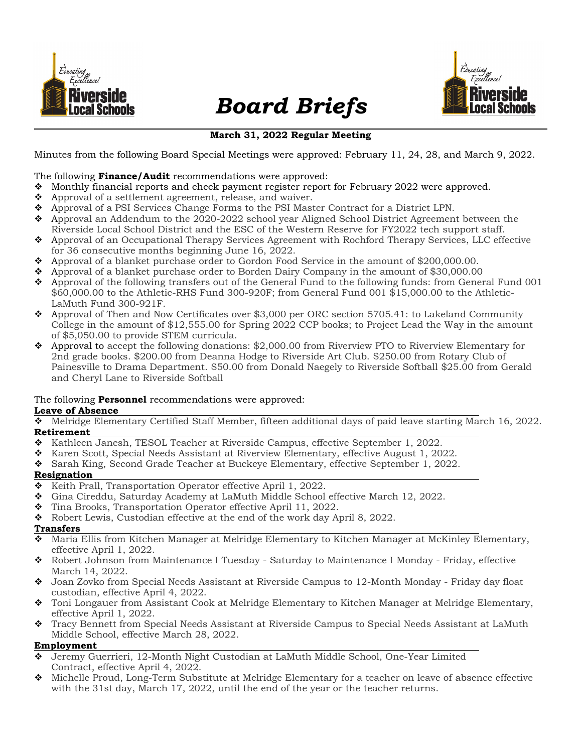

# Board Briefs



# March 31, 2022 Regular Meeting

Minutes from the following Board Special Meetings were approved: February 11, 24, 28, and March 9, 2022.

#### The following **Finance/Audit** recommendations were approved:

- Monthly financial reports and check payment register report for February 2022 were approved.
- $\triangleleft$  Approval of a settlement agreement, release, and waiver.
- Approval of a PSI Services Change Forms to the PSI Master Contract for a District LPN.
- $\leftrightarrow$  Approval an Addendum to the 2020-2022 school year Aligned School District Agreement between the Riverside Local School District and the ESC of the Western Reserve for FY2022 tech support staff.
- Approval of an Occupational Therapy Services Agreement with Rochford Therapy Services, LLC effective for 36 consecutive months beginning June 16, 2022.
- Approval of a blanket purchase order to Gordon Food Service in the amount of \$200,000.00.
- Approval of a blanket purchase order to Borden Dairy Company in the amount of \$30,000.00
- $\bullet$  Approval of the following transfers out of the General Fund to the following funds: from General Fund 001 \$60,000.00 to the Athletic-RHS Fund 300-920F; from General Fund 001 \$15,000.00 to the Athletic-LaMuth Fund 300-921F.
- Approval of Then and Now Certificates over \$3,000 per ORC section 5705.41: to Lakeland Community College in the amount of \$12,555.00 for Spring 2022 CCP books; to Project Lead the Way in the amount of \$5,050.00 to provide STEM curricula.
- Approval to accept the following donations: \$2,000.00 from Riverview PTO to Riverview Elementary for 2nd grade books. \$200.00 from Deanna Hodge to Riverside Art Club. \$250.00 from Rotary Club of Painesville to Drama Department. \$50.00 from Donald Naegely to Riverside Softball \$25.00 from Gerald and Cheryl Lane to Riverside Softball

#### The following **Personnel** recommendations were approved:

#### Leave of Absence

 Melridge Elementary Certified Staff Member, fifteen additional days of paid leave starting March 16, 2022. Retirement

- $\bullet$  Kathleen Janesh, TESOL Teacher at Riverside Campus, effective September 1, 2022.
- $\bullet$  Karen Scott, Special Needs Assistant at Riverview Elementary, effective August 1, 2022.
- Sarah King, Second Grade Teacher at Buckeye Elementary, effective September 1, 2022.

#### Resignation

- $\div$  Keith Prall, Transportation Operator effective April 1, 2022.
- Gina Cireddu, Saturday Academy at LaMuth Middle School effective March 12, 2022.
- $\bullet$  Tina Brooks, Transportation Operator effective April 11, 2022.
- Robert Lewis, Custodian effective at the end of the work day April 8, 2022.

#### Transfers

- Maria Ellis from Kitchen Manager at Melridge Elementary to Kitchen Manager at McKinley Elementary, effective April 1, 2022.
- Robert Johnson from Maintenance I Tuesday Saturday to Maintenance I Monday Friday, effective March 14, 2022.
- Joan Zovko from Special Needs Assistant at Riverside Campus to 12-Month Monday Friday day float custodian, effective April 4, 2022.
- Toni Longauer from Assistant Cook at Melridge Elementary to Kitchen Manager at Melridge Elementary, effective April 1, 2022.
- Tracy Bennett from Special Needs Assistant at Riverside Campus to Special Needs Assistant at LaMuth Middle School, effective March 28, 2022.

#### Employment

- Jeremy Guerrieri, 12-Month Night Custodian at LaMuth Middle School, One-Year Limited Contract, effective April 4, 2022.
- Michelle Proud, Long-Term Substitute at Melridge Elementary for a teacher on leave of absence effective with the 31st day, March 17, 2022, until the end of the year or the teacher returns.